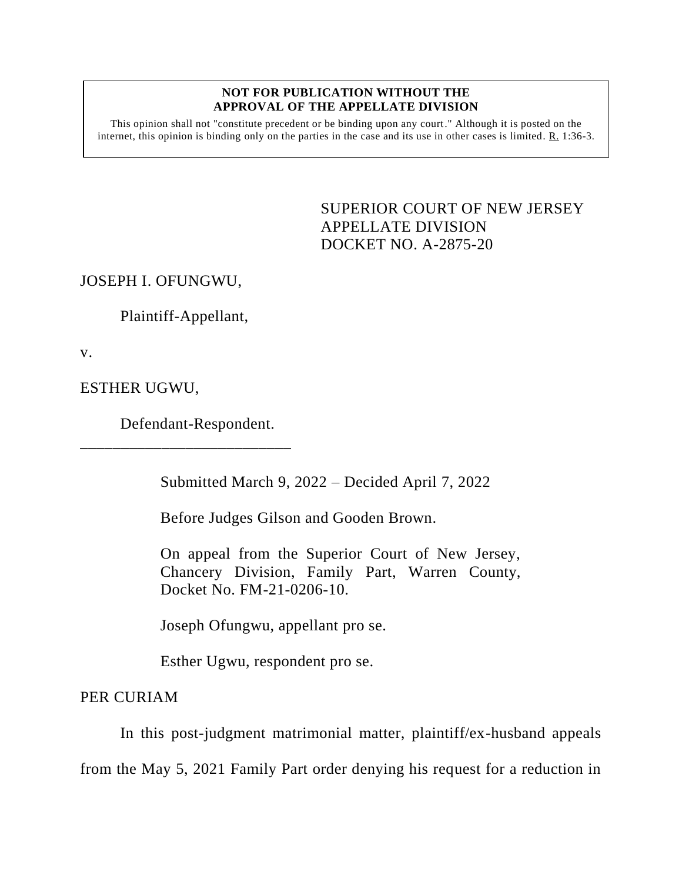## **NOT FOR PUBLICATION WITHOUT THE APPROVAL OF THE APPELLATE DIVISION**

This opinion shall not "constitute precedent or be binding upon any court." Although it is posted on the internet, this opinion is binding only on the parties in the case and its use in other cases is limited. R. 1:36-3.

> <span id="page-0-0"></span>SUPERIOR COURT OF NEW JERSEY APPELLATE DIVISION DOCKET NO. A-2875-20

JOSEPH I. OFUNGWU,

Plaintiff-Appellant,

v.

ESTHER UGWU,

Defendant-Respondent.

\_\_\_\_\_\_\_\_\_\_\_\_\_\_\_\_\_\_\_\_\_\_\_\_\_\_

Submitted March 9, 2022 – Decided April 7, 2022

Before Judges Gilson and Gooden Brown.

On appeal from the Superior Court of New Jersey, Chancery Division, Family Part, Warren County, Docket No. FM-21-0206-10.

Joseph Ofungwu, appellant pro se.

Esther Ugwu, respondent pro se.

PER CURIAM

In this post-judgment matrimonial matter, plaintiff/ex-husband appeals

from the May 5, 2021 Family Part order denying his request for a reduction in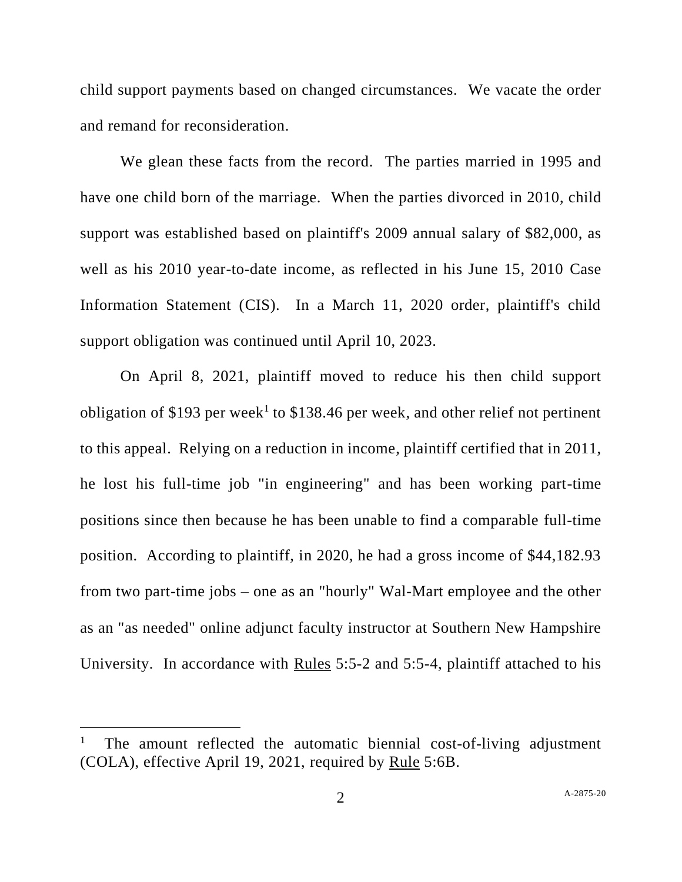child support payments based on changed circumstances. We vacate the order and remand for reconsideration.

We glean these facts from the record. The parties married in 1995 and have one child born of the marriage. When the parties divorced in 2010, child support was established based on plaintiff's 2009 annual salary of \$82,000, as well as his 2010 year-to-date income, as reflected in his June 15, 2010 Case Information Statement (CIS). In a March 11, 2020 order, plaintiff's child support obligation was continued until April 10, 2023.

On April 8, 2021, plaintiff moved to reduce his then child support obligation of \$193 per week<sup>1</sup> to \$138.46 per week, and other relief not pertinent to this appeal. Relying on a reduction in income, plaintiff certified that in 2011, he lost his full-time job "in engineering" and has been working part-time positions since then because he has been unable to find a comparable full-time position. According to plaintiff, in 2020, he had a gross income of \$44,182.93 from two part-time jobs – one as an "hourly" Wal-Mart employee and the other as an "as needed" online adjunct faculty instructor at Southern New Hampshire University. In accordance with Rules 5:5-2 and 5:5-4, plaintiff attached to his

<sup>1</sup> The amount reflected the automatic biennial cost-of-living adjustment (COLA), effective April 19, 2021, required by Rule 5:6B.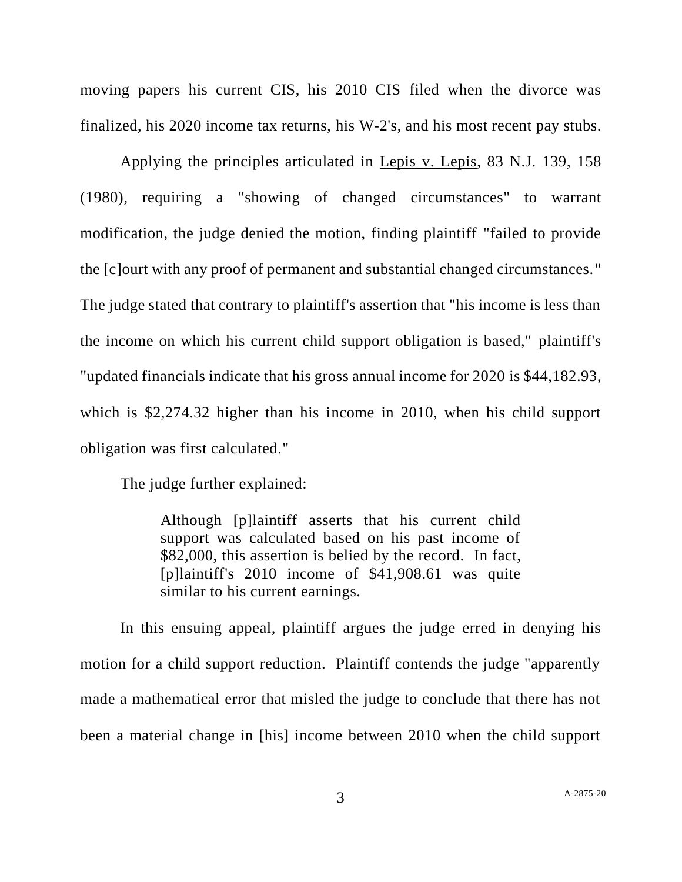moving papers his current CIS, his 2010 CIS filed when the divorce was finalized, his 2020 income tax returns, his W-2's, and his most recent pay stubs.

Applying the principles articulated in Lepis v. Lepis, 83 N.J. 139, 158 (1980), requiring a "showing of changed circumstances" to warrant modification, the judge denied the motion, finding plaintiff "failed to provide the [c]ourt with any proof of permanent and substantial changed circumstances." The judge stated that contrary to plaintiff's assertion that "his income is less than the income on which his current child support obligation is based," plaintiff's "updated financials indicate that his gross annual income for 2020 is \$44,182.93, which is \$2,274.32 higher than his income in 2010, when his child support obligation was first calculated."

The judge further explained:

Although [p]laintiff asserts that his current child support was calculated based on his past income of \$82,000, this assertion is belied by the record. In fact, [p]laintiff's 2010 income of \$41,908.61 was quite similar to his current earnings.

In this ensuing appeal, plaintiff argues the judge erred in denying his motion for a child support reduction. Plaintiff contends the judge "apparently made a mathematical error that misled the judge to conclude that there has not been a material change in [his] income between 2010 when the child support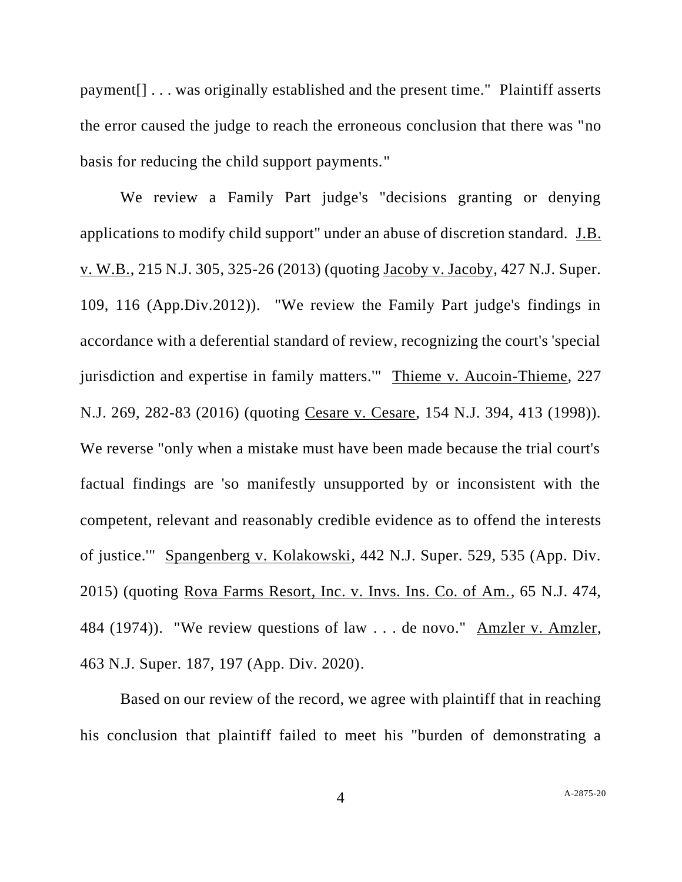payment[] . . . was originally established and the present time." Plaintiff asserts the error caused the judge to reach the erroneous conclusion that there was "no basis for reducing the child support payments."

We review a Family Part judge's "decisions granting or denying applications to modify child support" under an abuse of discretion standard. J.B. v. W.B., 215 N.J. 305, 325-26 (2013) (quoting Jacoby v. Jacoby, 427 N.J. Super. 109, 116 (App.Div.2012)). "We review the Family Part judge's findings in accordance with a deferential standard of review, recognizing the court's 'special jurisdiction and expertise in family matters." Thieme v. Aucoin-Thieme, 227 N.J. 269, 282-83 (2016) (quoting Cesare v. Cesare, 154 N.J. 394, 413 (1998)). We reverse "only when a mistake must have been made because the trial court's factual findings are 'so manifestly unsupported by or inconsistent with the competent, relevant and reasonably credible evidence as to offend the interests of justice.'" Spangenberg v. Kolakowski, 442 N.J. Super. 529, 535 (App. Div. 2015) (quoting Rova Farms Resort, Inc. v. Invs. Ins. Co. of Am., 65 N.J. 474, 484 (1974)). "We review questions of law . . . de novo." Amzler v. Amzler, 463 N.J. Super. 187, 197 (App. Div. 2020).

Based on our review of the record, we agree with plaintiff that in reaching his conclusion that plaintiff failed to meet his "burden of demonstrating a

4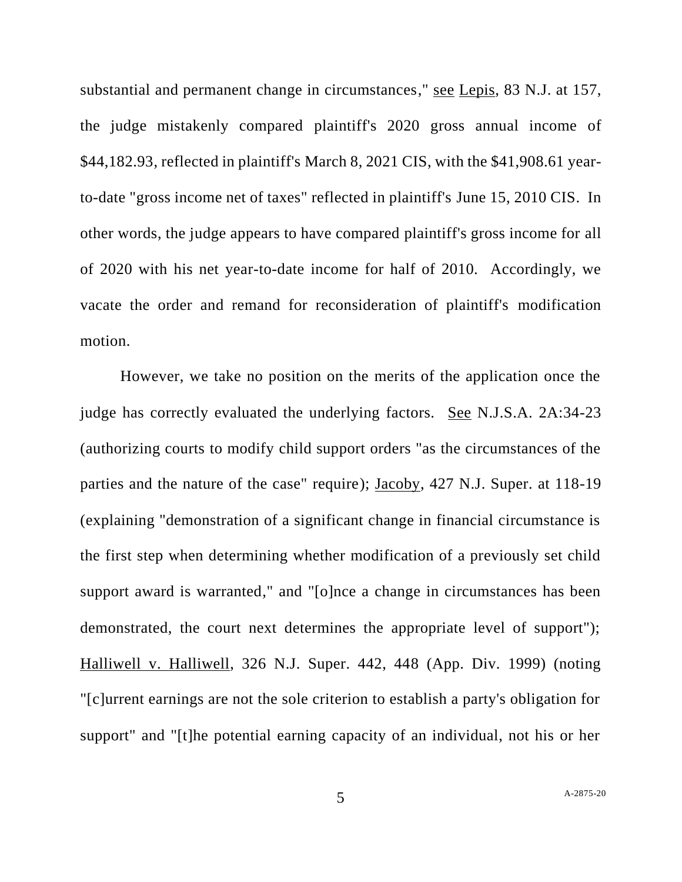substantial and permanent change in circumstances," see Lepis, 83 N.J. at 157, the judge mistakenly compared plaintiff's 2020 gross annual income of \$44,182.93, reflected in plaintiff's March 8, 2021 CIS, with the \$41,908.61 yearto-date "gross income net of taxes" reflected in plaintiff's June 15, 2010 CIS. In other words, the judge appears to have compared plaintiff's gross income for all of 2020 with his net year-to-date income for half of 2010. Accordingly, we vacate the order and remand for reconsideration of plaintiff's modification motion.

However, we take no position on the merits of the application once the judge has correctly evaluated the underlying factors. See N.J.S.A. 2A:34-23 (authorizing courts to modify child support orders "as the circumstances of the parties and the nature of the case" require); Jacoby, 427 N.J. Super. at 118-19 (explaining "demonstration of a significant change in financial circumstance is the first step when determining whether modification of a previously set child support award is warranted," and "[o]nce a change in circumstances has been demonstrated, the court next determines the appropriate level of support"); Halliwell v. Halliwell, 326 N.J. Super. 442, 448 (App. Div. 1999) (noting "[c]urrent earnings are not the sole criterion to establish a party's obligation for support" and "[t]he potential earning capacity of an individual, not his or her